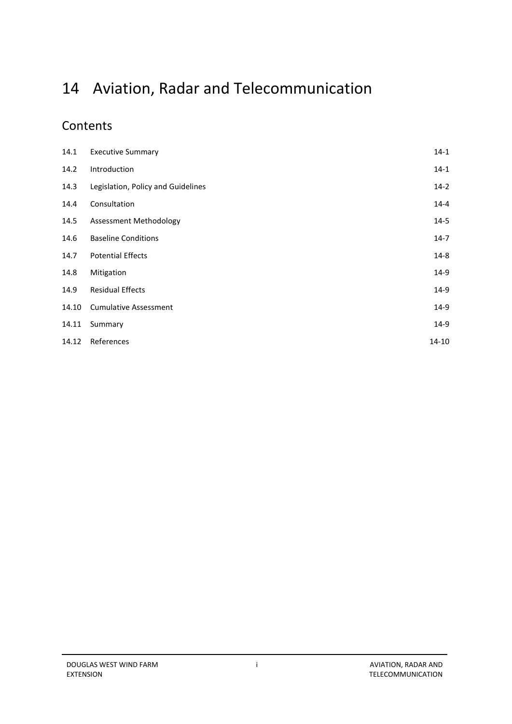# 14 Aviation, Radar and Telecommunication

# **Contents**

| <b>Executive Summary</b>           | $14-1$    |
|------------------------------------|-----------|
| Introduction                       | $14 - 1$  |
| Legislation, Policy and Guidelines | $14-2$    |
| Consultation                       | $14 - 4$  |
| Assessment Methodology             | $14 - 5$  |
| <b>Baseline Conditions</b>         | $14-7$    |
| <b>Potential Effects</b>           | $14 - 8$  |
| Mitigation                         | $14-9$    |
| <b>Residual Effects</b>            | $14-9$    |
| <b>Cumulative Assessment</b>       | $14-9$    |
| Summary                            | $14-9$    |
| References                         | $14 - 10$ |
|                                    |           |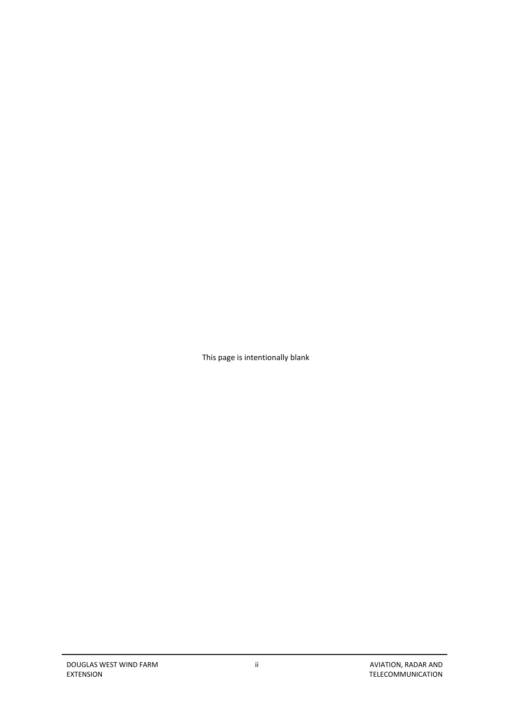This page is intentionally blank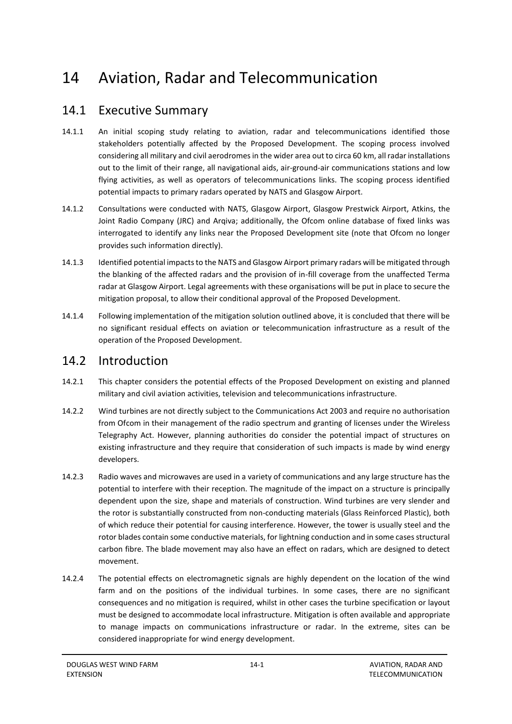# 14 Aviation, Radar and Telecommunication

### <span id="page-2-0"></span>14.1 Executive Summary

- 14.1.1 An initial scoping study relating to aviation, radar and telecommunications identified those stakeholders potentially affected by the Proposed Development. The scoping process involved considering all military and civil aerodromes in the wider area out to circa 60 km, all radar installations out to the limit of their range, all navigational aids, air-ground-air communications stations and low flying activities, as well as operators of telecommunications links. The scoping process identified potential impacts to primary radars operated by NATS and Glasgow Airport.
- 14.1.2 Consultations were conducted with NATS, Glasgow Airport, Glasgow Prestwick Airport, Atkins, the Joint Radio Company (JRC) and Arqiva; additionally, the Ofcom online database of fixed links was interrogated to identify any links near the Proposed Development site (note that Ofcom no longer provides such information directly).
- 14.1.3 Identified potential impacts to the NATS and Glasgow Airport primary radars will be mitigated through the blanking of the affected radars and the provision of in-fill coverage from the unaffected Terma radar at Glasgow Airport. Legal agreements with these organisations will be put in place to secure the mitigation proposal, to allow their conditional approval of the Proposed Development.
- 14.1.4 Following implementation of the mitigation solution outlined above, it is concluded that there will be no significant residual effects on aviation or telecommunication infrastructure as a result of the operation of the Proposed Development.

### <span id="page-2-1"></span>14.2 Introduction

- 14.2.1 This chapter considers the potential effects of the Proposed Development on existing and planned military and civil aviation activities, television and telecommunications infrastructure.
- 14.2.2 Wind turbines are not directly subject to the Communications Act 2003 and require no authorisation from Ofcom in their management of the radio spectrum and granting of licenses under the Wireless Telegraphy Act. However, planning authorities do consider the potential impact of structures on existing infrastructure and they require that consideration of such impacts is made by wind energy developers.
- 14.2.3 Radio waves and microwaves are used in a variety of communications and any large structure has the potential to interfere with their reception. The magnitude of the impact on a structure is principally dependent upon the size, shape and materials of construction. Wind turbines are very slender and the rotor is substantially constructed from non-conducting materials (Glass Reinforced Plastic), both of which reduce their potential for causing interference. However, the tower is usually steel and the rotor blades contain some conductive materials, for lightning conduction and in some cases structural carbon fibre. The blade movement may also have an effect on radars, which are designed to detect movement.
- 14.2.4 The potential effects on electromagnetic signals are highly dependent on the location of the wind farm and on the positions of the individual turbines. In some cases, there are no significant consequences and no mitigation is required, whilst in other cases the turbine specification or layout must be designed to accommodate local infrastructure. Mitigation is often available and appropriate to manage impacts on communications infrastructure or radar. In the extreme, sites can be considered inappropriate for wind energy development.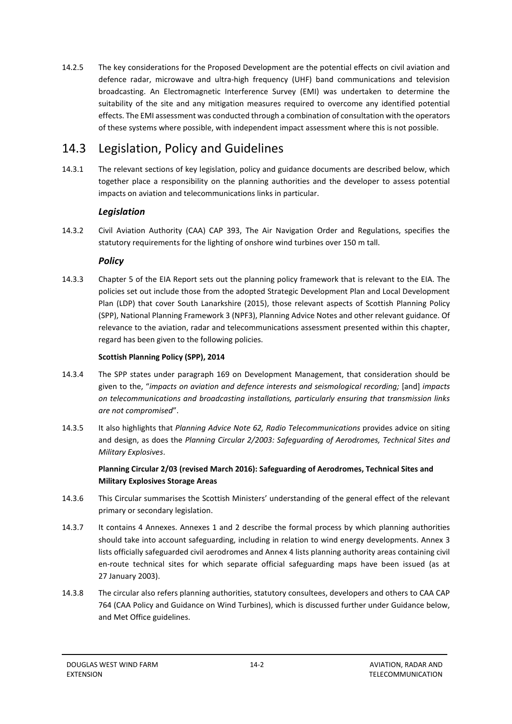14.2.5 The key considerations for the Proposed Development are the potential effects on civil aviation and defence radar, microwave and ultra-high frequency (UHF) band communications and television broadcasting. An Electromagnetic Interference Survey (EMI) was undertaken to determine the suitability of the site and any mitigation measures required to overcome any identified potential effects. The EMI assessment was conducted through a combination of consultation with the operators of these systems where possible, with independent impact assessment where this is not possible.

# <span id="page-3-0"></span>14.3 Legislation, Policy and Guidelines

14.3.1 The relevant sections of key legislation, policy and guidance documents are described below, which together place a responsibility on the planning authorities and the developer to assess potential impacts on aviation and telecommunications links in particular.

### *Legislation*

14.3.2 Civil Aviation Authority (CAA) CAP 393, The Air Navigation Order and Regulations, specifies the statutory requirements for the lighting of onshore wind turbines over 150 m tall.

### *Policy*

14.3.3 Chapter 5 of the EIA Report sets out the planning policy framework that is relevant to the EIA. The policies set out include those from the adopted Strategic Development Plan and Local Development Plan (LDP) that cover South Lanarkshire (2015), those relevant aspects of Scottish Planning Policy (SPP), National Planning Framework 3 (NPF3), Planning Advice Notes and other relevant guidance. Of relevance to the aviation, radar and telecommunications assessment presented within this chapter, regard has been given to the following policies.

### **Scottish Planning Policy (SPP), 2014**

- 14.3.4 The SPP states under paragraph 169 on Development Management, that consideration should be given to the, "*impacts on aviation and defence interests and seismological recording;* [and] *impacts on telecommunications and broadcasting installations, particularly ensuring that transmission links are not compromised*".
- 14.3.5 It also highlights that *Planning Advice Note 62, Radio Telecommunications* provides advice on siting and design, as does the *Planning Circular 2/2003: Safeguarding of Aerodromes, Technical Sites and Military Explosives*.

### **Planning Circular 2/03 (revised March 2016): Safeguarding of Aerodromes, Technical Sites and Military Explosives Storage Areas**

- 14.3.6 This Circular summarises the Scottish Ministers' understanding of the general effect of the relevant primary or secondary legislation.
- 14.3.7 It contains 4 Annexes. Annexes 1 and 2 describe the formal process by which planning authorities should take into account safeguarding, including in relation to wind energy developments. Annex 3 lists officially safeguarded civil aerodromes and Annex 4 lists planning authority areas containing civil en-route technical sites for which separate official safeguarding maps have been issued (as at 27 January 2003).
- 14.3.8 The circular also refers planning authorities, statutory consultees, developers and others to CAA CAP 764 (CAA Policy and Guidance on Wind Turbines), which is discussed further under Guidance below, and Met Office guidelines.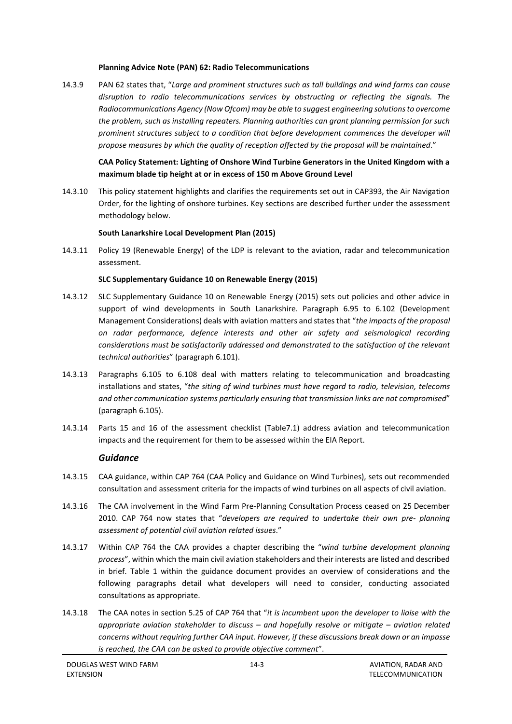#### **Planning Advice Note (PAN) 62: Radio Telecommunications**

14.3.9 PAN 62 states that, "*Large and prominent structures such as tall buildings and wind farms can cause disruption to radio telecommunications services by obstructing or reflecting the signals. The Radiocommunications Agency (Now Ofcom) may be able to suggest engineering solutions to overcome the problem, such as installing repeaters. Planning authorities can grant planning permission for such prominent structures subject to a condition that before development commences the developer will propose measures by which the quality of reception affected by the proposal will be maintained*."

#### **CAA Policy Statement: Lighting of Onshore Wind Turbine Generators in the United Kingdom with a maximum blade tip height at or in excess of 150 m Above Ground Level**

14.3.10 This policy statement highlights and clarifies the requirements set out in CAP393, the Air Navigation Order, for the lighting of onshore turbines. Key sections are described further under the assessment methodology below.

#### **South Lanarkshire Local Development Plan (2015)**

14.3.11 Policy 19 (Renewable Energy) of the LDP is relevant to the aviation, radar and telecommunication assessment.

#### **SLC Supplementary Guidance 10 on Renewable Energy (2015)**

- 14.3.12 SLC Supplementary Guidance 10 on Renewable Energy (2015) sets out policies and other advice in support of wind developments in South Lanarkshire. Paragraph 6.95 to 6.102 (Development Management Considerations) deals with aviation matters and states that "*the impacts of the proposal on radar performance, defence interests and other air safety and seismological recording considerations must be satisfactorily addressed and demonstrated to the satisfaction of the relevant technical authorities*" (paragraph 6.101).
- 14.3.13 Paragraphs 6.105 to 6.108 deal with matters relating to telecommunication and broadcasting installations and states, "*the siting of wind turbines must have regard to radio, television, telecoms and other communication systems particularly ensuring that transmission links are not compromised*" (paragraph 6.105).
- 14.3.14 Parts 15 and 16 of the assessment checklist (Table7.1) address aviation and telecommunication impacts and the requirement for them to be assessed within the EIA Report.

#### *Guidance*

- 14.3.15 CAA guidance, within CAP 764 (CAA Policy and Guidance on Wind Turbines), sets out recommended consultation and assessment criteria for the impacts of wind turbines on all aspects of civil aviation.
- 14.3.16 The CAA involvement in the Wind Farm Pre-Planning Consultation Process ceased on 25 December 2010. CAP 764 now states that "*developers are required to undertake their own pre- planning assessment of potential civil aviation related issues*."
- 14.3.17 Within CAP 764 the CAA provides a chapter describing the "*wind turbine development planning process*", within which the main civil aviation stakeholders and their interests are listed and described in brief. Table 1 within the guidance document provides an overview of considerations and the following paragraphs detail what developers will need to consider, conducting associated consultations as appropriate.
- 14.3.18 The CAA notes in section 5.25 of CAP 764 that "*it is incumbent upon the developer to liaise with the appropriate aviation stakeholder to discuss – and hopefully resolve or mitigate – aviation related concerns without requiring further CAA input. However, if these discussions break down or an impasse is reached, the CAA can be asked to provide objective comment*".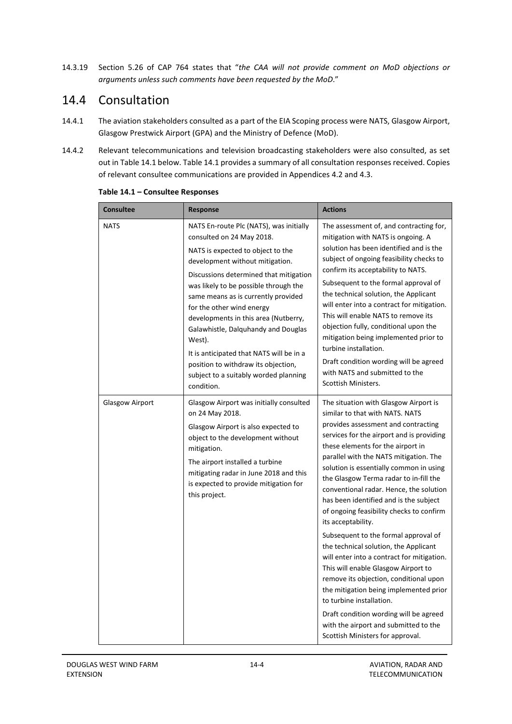14.3.19 Section 5.26 of CAP 764 states that "*the CAA will not provide comment on MoD objections or arguments unless such comments have been requested by the MoD*."

### <span id="page-5-0"></span>14.4 Consultation

- 14.4.1 The aviation stakeholders consulted as a part of the EIA Scoping process were NATS, Glasgow Airport, Glasgow Prestwick Airport (GPA) and the Ministry of Defence (MoD).
- 14.4.2 Relevant telecommunications and television broadcasting stakeholders were also consulted, as set out in Table 14.1 below. Table 14.1 provides a summary of all consultation responses received. Copies of relevant consultee communications are provided in Appendices 4.2 and 4.3.

| <b>Consultee</b>       | <b>Response</b>                                                                                                                                                                                                                                                                                                                                                                                                                                                                                                                        | <b>Actions</b>                                                                                                                                                                                                                                                                                                                                                                                                                                                                                                                                                                                                                                                                                                                                                                                                                                                                                       |
|------------------------|----------------------------------------------------------------------------------------------------------------------------------------------------------------------------------------------------------------------------------------------------------------------------------------------------------------------------------------------------------------------------------------------------------------------------------------------------------------------------------------------------------------------------------------|------------------------------------------------------------------------------------------------------------------------------------------------------------------------------------------------------------------------------------------------------------------------------------------------------------------------------------------------------------------------------------------------------------------------------------------------------------------------------------------------------------------------------------------------------------------------------------------------------------------------------------------------------------------------------------------------------------------------------------------------------------------------------------------------------------------------------------------------------------------------------------------------------|
| <b>NATS</b>            | NATS En-route Plc (NATS), was initially<br>consulted on 24 May 2018.<br>NATS is expected to object to the<br>development without mitigation.<br>Discussions determined that mitigation<br>was likely to be possible through the<br>same means as is currently provided<br>for the other wind energy<br>developments in this area (Nutberry,<br>Galawhistle, Dalquhandy and Douglas<br>West).<br>It is anticipated that NATS will be in a<br>position to withdraw its objection,<br>subject to a suitably worded planning<br>condition. | The assessment of, and contracting for,<br>mitigation with NATS is ongoing. A<br>solution has been identified and is the<br>subject of ongoing feasibility checks to<br>confirm its acceptability to NATS.<br>Subsequent to the formal approval of<br>the technical solution, the Applicant<br>will enter into a contract for mitigation.<br>This will enable NATS to remove its<br>objection fully, conditional upon the<br>mitigation being implemented prior to<br>turbine installation.<br>Draft condition wording will be agreed<br>with NATS and submitted to the<br>Scottish Ministers.                                                                                                                                                                                                                                                                                                       |
| <b>Glasgow Airport</b> | Glasgow Airport was initially consulted<br>on 24 May 2018.<br>Glasgow Airport is also expected to<br>object to the development without<br>mitigation.<br>The airport installed a turbine<br>mitigating radar in June 2018 and this<br>is expected to provide mitigation for<br>this project.                                                                                                                                                                                                                                           | The situation with Glasgow Airport is<br>similar to that with NATS. NATS<br>provides assessment and contracting<br>services for the airport and is providing<br>these elements for the airport in<br>parallel with the NATS mitigation. The<br>solution is essentially common in using<br>the Glasgow Terma radar to in-fill the<br>conventional radar. Hence, the solution<br>has been identified and is the subject<br>of ongoing feasibility checks to confirm<br>its acceptability.<br>Subsequent to the formal approval of<br>the technical solution, the Applicant<br>will enter into a contract for mitigation.<br>This will enable Glasgow Airport to<br>remove its objection, conditional upon<br>the mitigation being implemented prior<br>to turbine installation.<br>Draft condition wording will be agreed<br>with the airport and submitted to the<br>Scottish Ministers for approval. |

**Table 14.1 – Consultee Responses**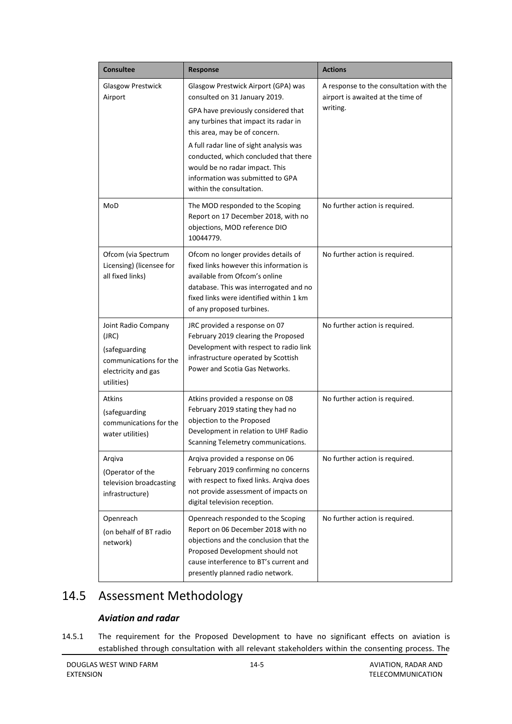| <b>Consultee</b>                                                                                             | <b>Response</b>                                                                                                                                                                                                                                                                                                                                                             | <b>Actions</b>                                                                           |
|--------------------------------------------------------------------------------------------------------------|-----------------------------------------------------------------------------------------------------------------------------------------------------------------------------------------------------------------------------------------------------------------------------------------------------------------------------------------------------------------------------|------------------------------------------------------------------------------------------|
| <b>Glasgow Prestwick</b><br>Airport                                                                          | Glasgow Prestwick Airport (GPA) was<br>consulted on 31 January 2019.<br>GPA have previously considered that<br>any turbines that impact its radar in<br>this area, may be of concern.<br>A full radar line of sight analysis was<br>conducted, which concluded that there<br>would be no radar impact. This<br>information was submitted to GPA<br>within the consultation. | A response to the consultation with the<br>airport is awaited at the time of<br>writing. |
| MoD                                                                                                          | The MOD responded to the Scoping<br>Report on 17 December 2018, with no<br>objections, MOD reference DIO<br>10044779.                                                                                                                                                                                                                                                       | No further action is required.                                                           |
| Ofcom (via Spectrum<br>Licensing) (licensee for<br>all fixed links)                                          | Ofcom no longer provides details of<br>fixed links however this information is<br>available from Ofcom's online<br>database. This was interrogated and no<br>fixed links were identified within 1 km<br>of any proposed turbines.                                                                                                                                           | No further action is required.                                                           |
| Joint Radio Company<br>(JRC)<br>(safeguarding<br>communications for the<br>electricity and gas<br>utilities) | JRC provided a response on 07<br>February 2019 clearing the Proposed<br>Development with respect to radio link<br>infrastructure operated by Scottish<br>Power and Scotia Gas Networks.                                                                                                                                                                                     | No further action is required.                                                           |
| <b>Atkins</b><br>(safeguarding<br>communications for the<br>water utilities)                                 | Atkins provided a response on 08<br>February 2019 stating they had no<br>objection to the Proposed<br>Development in relation to UHF Radio<br>Scanning Telemetry communications.                                                                                                                                                                                            | No further action is required.                                                           |
| Argiva<br>(Operator of the<br>television broadcasting<br>infrastructure)                                     | Arqiva provided a response on 06<br>February 2019 confirming no concerns<br>with respect to fixed links. Arqiva does<br>not provide assessment of impacts on<br>digital television reception.                                                                                                                                                                               | No further action is required.                                                           |
| Openreach<br>(on behalf of BT radio<br>network)                                                              | Openreach responded to the Scoping<br>Report on 06 December 2018 with no<br>objections and the conclusion that the<br>Proposed Development should not<br>cause interference to BT's current and<br>presently planned radio network.                                                                                                                                         | No further action is required.                                                           |

# <span id="page-6-0"></span>14.5 Assessment Methodology

### *Aviation and radar*

14.5.1 The requirement for the Proposed Development to have no significant effects on aviation is established through consultation with all relevant stakeholders within the consenting process. The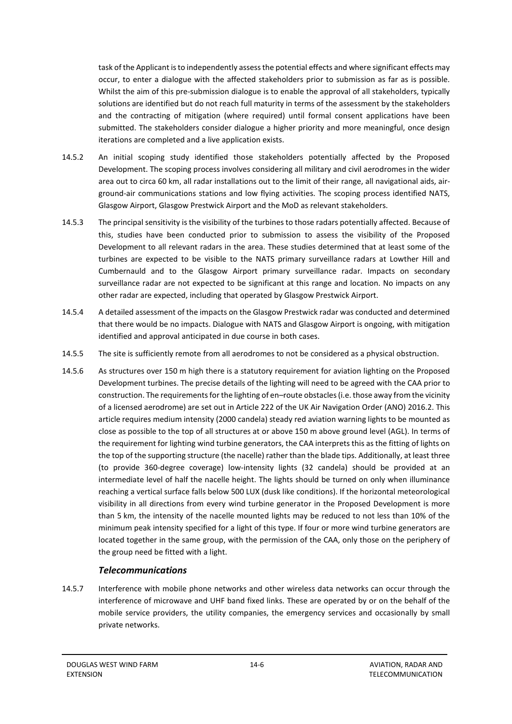task of the Applicant is to independently assess the potential effects and where significant effects may occur, to enter a dialogue with the affected stakeholders prior to submission as far as is possible. Whilst the aim of this pre-submission dialogue is to enable the approval of all stakeholders, typically solutions are identified but do not reach full maturity in terms of the assessment by the stakeholders and the contracting of mitigation (where required) until formal consent applications have been submitted. The stakeholders consider dialogue a higher priority and more meaningful, once design iterations are completed and a live application exists.

- 14.5.2 An initial scoping study identified those stakeholders potentially affected by the Proposed Development. The scoping process involves considering all military and civil aerodromes in the wider area out to circa 60 km, all radar installations out to the limit of their range, all navigational aids, airground-air communications stations and low flying activities. The scoping process identified NATS, Glasgow Airport, Glasgow Prestwick Airport and the MoD as relevant stakeholders.
- 14.5.3 The principal sensitivity is the visibility of the turbines to those radars potentially affected. Because of this, studies have been conducted prior to submission to assess the visibility of the Proposed Development to all relevant radars in the area. These studies determined that at least some of the turbines are expected to be visible to the NATS primary surveillance radars at Lowther Hill and Cumbernauld and to the Glasgow Airport primary surveillance radar. Impacts on secondary surveillance radar are not expected to be significant at this range and location. No impacts on any other radar are expected, including that operated by Glasgow Prestwick Airport.
- 14.5.4 A detailed assessment of the impacts on the Glasgow Prestwick radar was conducted and determined that there would be no impacts. Dialogue with NATS and Glasgow Airport is ongoing, with mitigation identified and approval anticipated in due course in both cases.
- 14.5.5 The site is sufficiently remote from all aerodromes to not be considered as a physical obstruction.
- 14.5.6 As structures over 150 m high there is a statutory requirement for aviation lighting on the Proposed Development turbines. The precise details of the lighting will need to be agreed with the CAA prior to construction. The requirements for the lighting of en–route obstacles (i.e. those away from the vicinity of a licensed aerodrome) are set out in Article 222 of the UK Air Navigation Order (ANO) 2016.2. This article requires medium intensity (2000 candela) steady red aviation warning lights to be mounted as close as possible to the top of all structures at or above 150 m above ground level (AGL). In terms of the requirement for lighting wind turbine generators, the CAA interprets this as the fitting of lights on the top of the supporting structure (the nacelle) rather than the blade tips. Additionally, at least three (to provide 360-degree coverage) low-intensity lights (32 candela) should be provided at an intermediate level of half the nacelle height. The lights should be turned on only when illuminance reaching a vertical surface falls below 500 LUX (dusk like conditions). If the horizontal meteorological visibility in all directions from every wind turbine generator in the Proposed Development is more than 5 km, the intensity of the nacelle mounted lights may be reduced to not less than 10% of the minimum peak intensity specified for a light of this type. If four or more wind turbine generators are located together in the same group, with the permission of the CAA, only those on the periphery of the group need be fitted with a light.

### *Telecommunications*

14.5.7 Interference with mobile phone networks and other wireless data networks can occur through the interference of microwave and UHF band fixed links. These are operated by or on the behalf of the mobile service providers, the utility companies, the emergency services and occasionally by small private networks.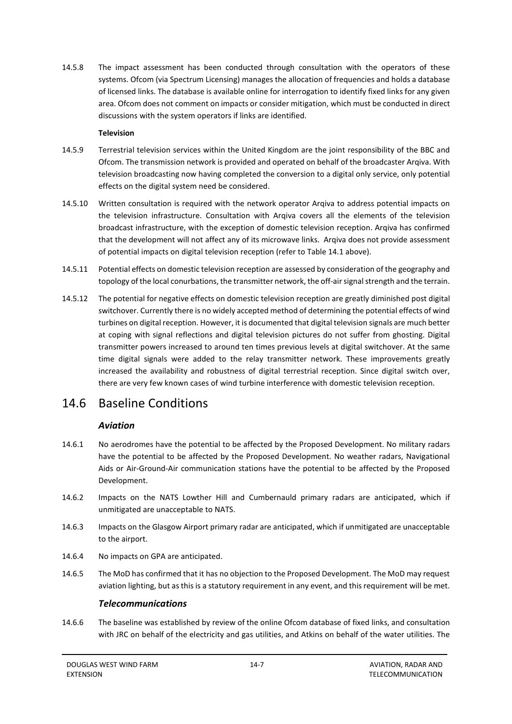14.5.8 The impact assessment has been conducted through consultation with the operators of these systems. Ofcom (via Spectrum Licensing) manages the allocation of frequencies and holds a database of licensed links. The database is available online for interrogation to identify fixed links for any given area. Ofcom does not comment on impacts or consider mitigation, which must be conducted in direct discussions with the system operators if links are identified.

#### **Television**

- 14.5.9 Terrestrial television services within the United Kingdom are the joint responsibility of the BBC and Ofcom. The transmission network is provided and operated on behalf of the broadcaster Arqiva. With television broadcasting now having completed the conversion to a digital only service, only potential effects on the digital system need be considered.
- 14.5.10 Written consultation is required with the network operator Arqiva to address potential impacts on the television infrastructure. Consultation with Arqiva covers all the elements of the television broadcast infrastructure, with the exception of domestic television reception. Arqiva has confirmed that the development will not affect any of its microwave links. Arqiva does not provide assessment of potential impacts on digital television reception (refer to Table 14.1 above).
- 14.5.11 Potential effects on domestic television reception are assessed by consideration of the geography and topology of the local conurbations, the transmitter network, the off-air signal strength and the terrain.
- 14.5.12 The potential for negative effects on domestic television reception are greatly diminished post digital switchover. Currently there is no widely accepted method of determining the potential effects of wind turbines on digital reception. However, it is documented that digital television signals are much better at coping with signal reflections and digital television pictures do not suffer from ghosting. Digital transmitter powers increased to around ten times previous levels at digital switchover. At the same time digital signals were added to the relay transmitter network. These improvements greatly increased the availability and robustness of digital terrestrial reception. Since digital switch over, there are very few known cases of wind turbine interference with domestic television reception.

## <span id="page-8-0"></span>14.6 Baseline Conditions

#### *Aviation*

- 14.6.1 No aerodromes have the potential to be affected by the Proposed Development. No military radars have the potential to be affected by the Proposed Development. No weather radars, Navigational Aids or Air-Ground-Air communication stations have the potential to be affected by the Proposed Development.
- 14.6.2 Impacts on the NATS Lowther Hill and Cumbernauld primary radars are anticipated, which if unmitigated are unacceptable to NATS.
- 14.6.3 Impacts on the Glasgow Airport primary radar are anticipated, which if unmitigated are unacceptable to the airport.
- 14.6.4 No impacts on GPA are anticipated.
- 14.6.5 The MoD has confirmed that it has no objection to the Proposed Development. The MoD may request aviation lighting, but as this is a statutory requirement in any event, and this requirement will be met.

#### *Telecommunications*

14.6.6 The baseline was established by review of the online Ofcom database of fixed links, and consultation with JRC on behalf of the electricity and gas utilities, and Atkins on behalf of the water utilities. The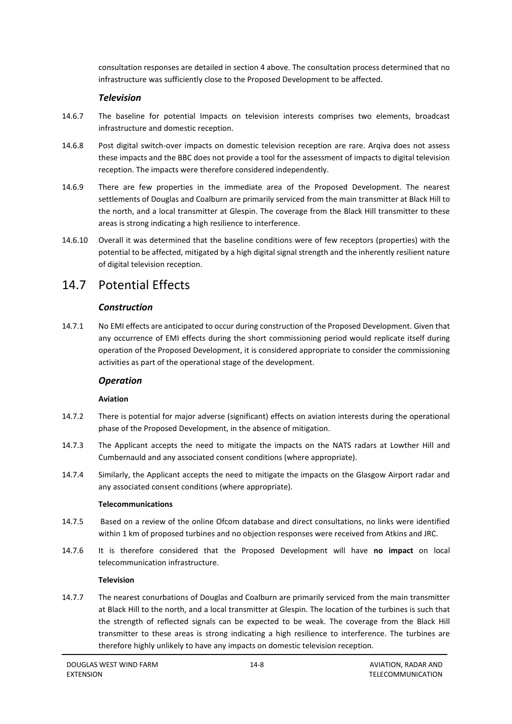consultation responses are detailed in section 4 above. The consultation process determined that no infrastructure was sufficiently close to the Proposed Development to be affected.

#### *Television*

- 14.6.7 The baseline for potential Impacts on television interests comprises two elements, broadcast infrastructure and domestic reception.
- 14.6.8 Post digital switch-over impacts on domestic television reception are rare. Arqiva does not assess these impacts and the BBC does not provide a tool for the assessment of impacts to digital television reception. The impacts were therefore considered independently.
- 14.6.9 There are few properties in the immediate area of the Proposed Development. The nearest settlements of Douglas and Coalburn are primarily serviced from the main transmitter at Black Hill to the north, and a local transmitter at Glespin. The coverage from the Black Hill transmitter to these areas is strong indicating a high resilience to interference.
- 14.6.10 Overall it was determined that the baseline conditions were of few receptors (properties) with the potential to be affected, mitigated by a high digital signal strength and the inherently resilient nature of digital television reception.

### <span id="page-9-0"></span>14.7 Potential Effects

### *Construction*

14.7.1 No EMI effects are anticipated to occur during construction of the Proposed Development. Given that any occurrence of EMI effects during the short commissioning period would replicate itself during operation of the Proposed Development, it is considered appropriate to consider the commissioning activities as part of the operational stage of the development.

### *Operation*

#### **Aviation**

- 14.7.2 There is potential for major adverse (significant) effects on aviation interests during the operational phase of the Proposed Development, in the absence of mitigation.
- 14.7.3 The Applicant accepts the need to mitigate the impacts on the NATS radars at Lowther Hill and Cumbernauld and any associated consent conditions (where appropriate).
- 14.7.4 Similarly, the Applicant accepts the need to mitigate the impacts on the Glasgow Airport radar and any associated consent conditions (where appropriate).

#### **Telecommunications**

- 14.7.5 Based on a review of the online Ofcom database and direct consultations, no links were identified within 1 km of proposed turbines and no objection responses were received from Atkins and JRC.
- 14.7.6 It is therefore considered that the Proposed Development will have **no impact** on local telecommunication infrastructure.

#### **Television**

14.7.7 The nearest conurbations of Douglas and Coalburn are primarily serviced from the main transmitter at Black Hill to the north, and a local transmitter at Glespin. The location of the turbines is such that the strength of reflected signals can be expected to be weak. The coverage from the Black Hill transmitter to these areas is strong indicating a high resilience to interference. The turbines are therefore highly unlikely to have any impacts on domestic television reception.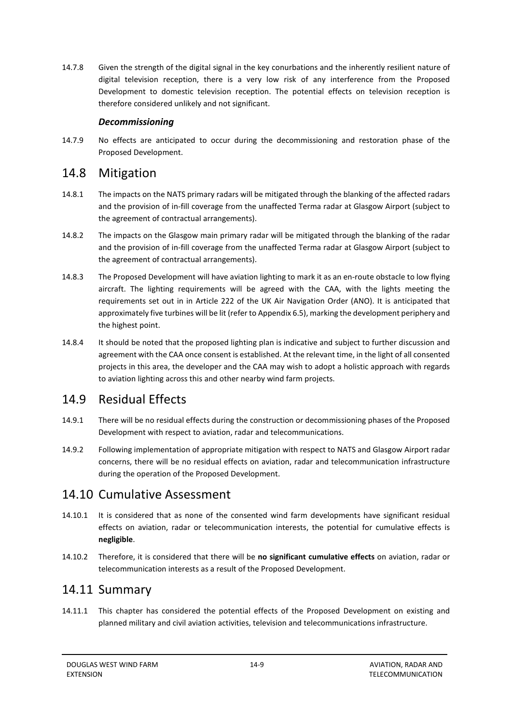14.7.8 Given the strength of the digital signal in the key conurbations and the inherently resilient nature of digital television reception, there is a very low risk of any interference from the Proposed Development to domestic television reception. The potential effects on television reception is therefore considered unlikely and not significant.

### *Decommissioning*

14.7.9 No effects are anticipated to occur during the decommissioning and restoration phase of the Proposed Development.

### <span id="page-10-0"></span>14.8 Mitigation

- 14.8.1 The impacts on the NATS primary radars will be mitigated through the blanking of the affected radars and the provision of in-fill coverage from the unaffected Terma radar at Glasgow Airport (subject to the agreement of contractual arrangements).
- 14.8.2 The impacts on the Glasgow main primary radar will be mitigated through the blanking of the radar and the provision of in-fill coverage from the unaffected Terma radar at Glasgow Airport (subject to the agreement of contractual arrangements).
- 14.8.3 The Proposed Development will have aviation lighting to mark it as an en-route obstacle to low flying aircraft. The lighting requirements will be agreed with the CAA, with the lights meeting the requirements set out in in Article 222 of the UK Air Navigation Order (ANO). It is anticipated that approximately five turbines will be lit (refer to Appendix 6.5), marking the development periphery and the highest point.
- 14.8.4 It should be noted that the proposed lighting plan is indicative and subject to further discussion and agreement with the CAA once consent is established. At the relevant time, in the light of all consented projects in this area, the developer and the CAA may wish to adopt a holistic approach with regards to aviation lighting across this and other nearby wind farm projects.

# <span id="page-10-1"></span>14.9 Residual Effects

- 14.9.1 There will be no residual effects during the construction or decommissioning phases of the Proposed Development with respect to aviation, radar and telecommunications.
- 14.9.2 Following implementation of appropriate mitigation with respect to NATS and Glasgow Airport radar concerns, there will be no residual effects on aviation, radar and telecommunication infrastructure during the operation of the Proposed Development.

## <span id="page-10-2"></span>14.10 Cumulative Assessment

- 14.10.1 It is considered that as none of the consented wind farm developments have significant residual effects on aviation, radar or telecommunication interests, the potential for cumulative effects is **negligible**.
- 14.10.2 Therefore, it is considered that there will be **no significant cumulative effects** on aviation, radar or telecommunication interests as a result of the Proposed Development.

### <span id="page-10-3"></span>14.11 Summary

14.11.1 This chapter has considered the potential effects of the Proposed Development on existing and planned military and civil aviation activities, television and telecommunications infrastructure.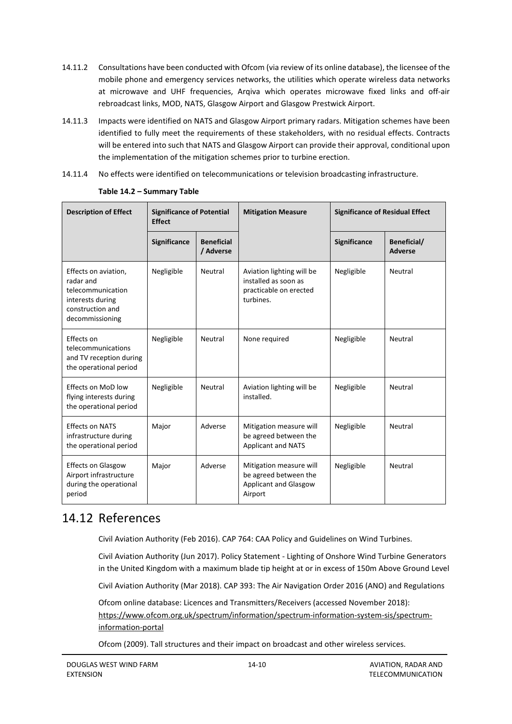- 14.11.2 Consultations have been conducted with Ofcom (via review of its online database), the licensee of the mobile phone and emergency services networks, the utilities which operate wireless data networks at microwave and UHF frequencies, Arqiva which operates microwave fixed links and off-air rebroadcast links, MOD, NATS, Glasgow Airport and Glasgow Prestwick Airport.
- 14.11.3 Impacts were identified on NATS and Glasgow Airport primary radars. Mitigation schemes have been identified to fully meet the requirements of these stakeholders, with no residual effects. Contracts will be entered into such that NATS and Glasgow Airport can provide their approval, conditional upon the implementation of the mitigation schemes prior to turbine erection.
- 14.11.4 No effects were identified on telecommunications or television broadcasting infrastructure.

| <b>Description of Effect</b>                                                                                      | <b>Significance of Potential</b><br><b>Effect</b> |                                | <b>Mitigation Measure</b>                                                                   | <b>Significance of Residual Effect</b> |                               |
|-------------------------------------------------------------------------------------------------------------------|---------------------------------------------------|--------------------------------|---------------------------------------------------------------------------------------------|----------------------------------------|-------------------------------|
|                                                                                                                   | <b>Significance</b>                               | <b>Beneficial</b><br>/ Adverse |                                                                                             | Significance                           | Beneficial/<br><b>Adverse</b> |
| Effects on aviation,<br>radar and<br>telecommunication<br>interests during<br>construction and<br>decommissioning | Negligible                                        | Neutral                        | Aviation lighting will be<br>installed as soon as<br>practicable on erected<br>turbines.    | Negligible                             | Neutral                       |
| Effects on<br>telecommunications<br>and TV reception during<br>the operational period                             | Negligible                                        | Neutral                        | None required                                                                               | Negligible                             | Neutral                       |
| Effects on MoD low<br>flying interests during<br>the operational period                                           | Negligible                                        | Neutral                        | Aviation lighting will be<br>installed.                                                     | Negligible                             | Neutral                       |
| <b>Effects on NATS</b><br>infrastructure during<br>the operational period                                         | Major                                             | Adverse                        | Mitigation measure will<br>be agreed between the<br>Applicant and NATS                      | Negligible                             | Neutral                       |
| <b>Effects on Glasgow</b><br>Airport infrastructure<br>during the operational<br>period                           | Major                                             | Adverse                        | Mitigation measure will<br>be agreed between the<br><b>Applicant and Glasgow</b><br>Airport | Negligible                             | Neutral                       |

#### **Table 14.2 – Summary Table**

# <span id="page-11-0"></span>14.12 References

Civil Aviation Authority (Feb 2016). CAP 764: CAA Policy and Guidelines on Wind Turbines.

Civil Aviation Authority (Jun 2017). Policy Statement - Lighting of Onshore Wind Turbine Generators in the United Kingdom with a maximum blade tip height at or in excess of 150m Above Ground Level

Civil Aviation Authority (Mar 2018). CAP 393: The Air Navigation Order 2016 (ANO) and Regulations

Ofcom online database: Licences and Transmitters/Receivers (accessed November 2018): [https://www.ofcom.org.uk/spectrum/information/spectrum-information-system-sis/spectrum](https://www.ofcom.org.uk/spectrum/information/spectrum-information-system-sis/spectrum-information-portal)[information-portal](https://www.ofcom.org.uk/spectrum/information/spectrum-information-system-sis/spectrum-information-portal)

Ofcom (2009). Tall structures and their impact on broadcast and other wireless services.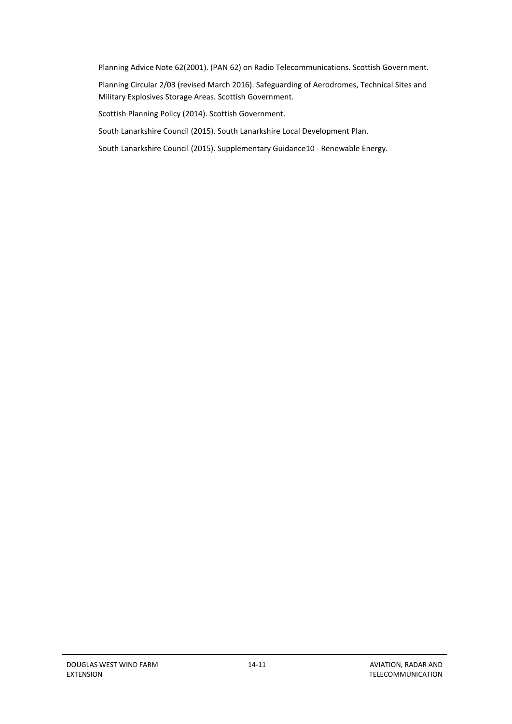Planning Advice Note 62(2001). (PAN 62) on Radio Telecommunications. Scottish Government.

Planning Circular 2/03 (revised March 2016). Safeguarding of Aerodromes, Technical Sites and Military Explosives Storage Areas. Scottish Government.

Scottish Planning Policy (2014). Scottish Government.

South Lanarkshire Council (2015). South Lanarkshire Local Development Plan.

South Lanarkshire Council (2015). Supplementary Guidance10 - Renewable Energy.